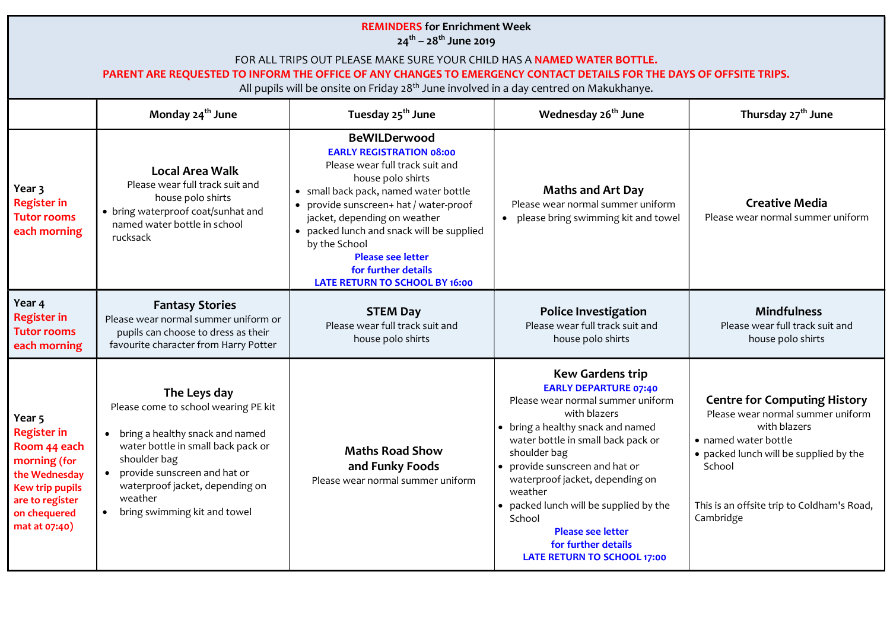## REMINDERS for Enrichment Week  $24^{th}$  – 28<sup>th</sup> June 2019

## FOR ALL TRIPS OUT PLEASE MAKE SURE YOUR CHILD HAS A NAMED WATER BOTTLE.

## PARENT ARE REQUESTED TO INFORM THE OFFICE OF ANY CHANGES TO EMERGENCY CONTACT DETAILS FOR THE DAYS OF OFFSITE TRIPS.

All pupils will be onsite on Friday  $28<sup>th</sup>$  June involved in a day centred on Makukhanye.

|                                                                                                                                                             | Monday 24 <sup>th</sup> June                                                                                                                                                                                                                                  | Tuesday 25 <sup>th</sup> June                                                                                                                                                                                                                                                                                                                                                               | Wednesday 26 <sup>th</sup> June                                                                                                                                                                                                                                                                                                                                                                                                      | Thursday 27 <sup>th</sup> June                                                                                                                                                                                                  |
|-------------------------------------------------------------------------------------------------------------------------------------------------------------|---------------------------------------------------------------------------------------------------------------------------------------------------------------------------------------------------------------------------------------------------------------|---------------------------------------------------------------------------------------------------------------------------------------------------------------------------------------------------------------------------------------------------------------------------------------------------------------------------------------------------------------------------------------------|--------------------------------------------------------------------------------------------------------------------------------------------------------------------------------------------------------------------------------------------------------------------------------------------------------------------------------------------------------------------------------------------------------------------------------------|---------------------------------------------------------------------------------------------------------------------------------------------------------------------------------------------------------------------------------|
| Year 3<br><b>Register in</b><br><b>Tutor rooms</b><br>each morning                                                                                          | <b>Local Area Walk</b><br>Please wear full track suit and<br>house polo shirts<br>• bring waterproof coat/sunhat and<br>named water bottle in school<br>rucksack                                                                                              | <b>BeWILDerwood</b><br><b>EARLY REGISTRATION 08:00</b><br>Please wear full track suit and<br>house polo shirts<br>• small back pack, named water bottle<br>• provide sunscreen+ hat / water-proof<br>jacket, depending on weather<br>• packed lunch and snack will be supplied<br>by the School<br><b>Please see letter</b><br>for further details<br><b>LATE RETURN TO SCHOOL BY 16:00</b> | <b>Maths and Art Day</b><br>Please wear normal summer uniform<br>please bring swimming kit and towel<br>$\bullet$                                                                                                                                                                                                                                                                                                                    | <b>Creative Media</b><br>Please wear normal summer uniform                                                                                                                                                                      |
| Year 4<br><b>Register in</b><br><b>Tutor rooms</b><br>each morning                                                                                          | <b>Fantasy Stories</b><br>Please wear normal summer uniform or<br>pupils can choose to dress as their<br>favourite character from Harry Potter                                                                                                                | <b>STEM Day</b><br>Please wear full track suit and<br>house polo shirts                                                                                                                                                                                                                                                                                                                     | <b>Police Investigation</b><br>Please wear full track suit and<br>house polo shirts                                                                                                                                                                                                                                                                                                                                                  | <b>Mindfulness</b><br>Please wear full track suit and<br>house polo shirts                                                                                                                                                      |
| Year 5<br><b>Register in</b><br>Room 44 each<br>morning (for<br>the Wednesday<br><b>Kew trip pupils</b><br>are to register<br>on chequered<br>mat at 07:40) | The Leys day<br>Please come to school wearing PE kit<br>• bring a healthy snack and named<br>water bottle in small back pack or<br>shoulder bag<br>provide sunscreen and hat or<br>waterproof jacket, depending on<br>weather<br>bring swimming kit and towel | <b>Maths Road Show</b><br>and Funky Foods<br>Please wear normal summer uniform                                                                                                                                                                                                                                                                                                              | <b>Kew Gardens trip</b><br><b>EARLY DEPARTURE 07:40</b><br>Please wear normal summer uniform<br>with blazers<br>• bring a healthy snack and named<br>water bottle in small back pack or<br>shoulder bag<br>• provide sunscreen and hat or<br>waterproof jacket, depending on<br>weather<br>• packed lunch will be supplied by the<br>School<br><b>Please see letter</b><br>for further details<br><b>LATE RETURN TO SCHOOL 17:00</b> | <b>Centre for Computing History</b><br>Please wear normal summer uniform<br>with blazers<br>• named water bottle<br>• packed lunch will be supplied by the<br>School<br>This is an offsite trip to Coldham's Road,<br>Cambridge |